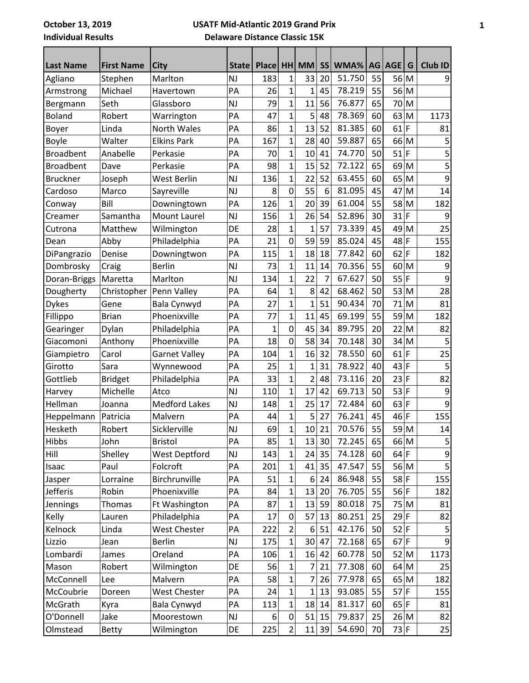## **USATF Mid-Atlantic 2019 Grand Prix**

**Delaware Distance Classic 15K**

| <b>Last Name</b> | <b>First Name</b> | <b>City</b>          | State     | <b>Place</b> |                | HH MM          | <b>SS</b>      | WMA%   |    | AG AGE | G            | <b>Club ID</b> |
|------------------|-------------------|----------------------|-----------|--------------|----------------|----------------|----------------|--------|----|--------|--------------|----------------|
| Agliano          | Stephen           | Marlton              | <b>NJ</b> | 183          | $\mathbf{1}$   | 33             | 20             | 51.750 | 55 | 56 M   |              | 9              |
| Armstrong        | Michael           | Havertown            | PA        | 26           | 1              | 1              | 45             | 78.219 | 55 | 56     | M            |                |
| Bergmann         | Seth              | Glassboro            | <b>NJ</b> | 79           | $\mathbf{1}$   | 11             | 56             | 76.877 | 65 | 70 M   |              |                |
| <b>Boland</b>    | Robert            | Warrington           | PA        | 47           | $\overline{1}$ | 5              | 48             | 78.369 | 60 | 63     | M            | 1173           |
| Boyer            | Linda             | North Wales          | PA        | 86           | $\mathbf{1}$   | 13             | 52             | 81.385 | 60 | 61     | F            | 81             |
| <b>Boyle</b>     | Walter            | <b>Elkins Park</b>   | PA        | 167          | $\overline{1}$ | 28             | 40             | 59.887 | 65 | 66     | M            | 5              |
| <b>Broadbent</b> | Anabelle          | Perkasie             | PA        | 70           | $\overline{1}$ | 10             | 41             | 74.770 | 50 | 51     | F            | 5              |
| <b>Broadbent</b> | Dave              | Perkasie             | PA        | 98           | $\mathbf{1}$   | 15             | 52             | 72.122 | 65 | 69 M   |              | 5              |
| <b>Bruckner</b>  | Joseph            | West Berlin          | <b>NJ</b> | 136          | 1              | 22             | 52             | 63.455 | 60 | 65     | M            | 9              |
| Cardoso          | Marco             | Sayreville           | <b>NJ</b> | 8            | 0              | 55             | 6              | 81.095 | 45 | 47     | M            | 14             |
| Conway           | Bill              | Downingtown          | PA        | 126          | $\mathbf{1}$   | 20             | 39             | 61.004 | 55 | 58     | M            | 182            |
| Creamer          | Samantha          | Mount Laurel         | <b>NJ</b> | 156          | $\mathbf{1}$   | 26             | 54             | 52.896 | 30 | 31     | $\mathsf F$  | 9              |
| Cutrona          | Matthew           | Wilmington           | DE        | 28           | $\overline{1}$ | $\overline{1}$ | 57             | 73.339 | 45 | 49     | M            | 25             |
| Dean             | Abby              | Philadelphia         | PA        | 21           | $\overline{0}$ | 59             | 59             | 85.024 | 45 | 48     | F            | 155            |
| DiPangrazio      | Denise            | Downingtwon          | PA        | 115          | $\mathbf{1}$   | 18             | 18             | 77.842 | 60 | 62     | F            | 182            |
| Dombrosky        | Craig             | <b>Berlin</b>        | <b>NJ</b> | 73           | $\mathbf{1}$   | 11             | 14             | 70.356 | 55 | 60     | M            | 9              |
| Doran-Briggs     | Maretta           | Marlton              | <b>NJ</b> | 134          | $\mathbf{1}$   | 22             | $\overline{7}$ | 67.627 | 50 | 55     | F            | 9              |
| Dougherty        | Christopher       | Penn Valley          | PA        | 64           | $\mathbf{1}$   | 8              | 42             | 68.462 | 50 | 53     | M            | 28             |
| <b>Dykes</b>     | Gene              | Bala Cynwyd          | PA        | 27           | $\overline{1}$ | $\overline{1}$ | 51             | 90.434 | 70 | 71     | M            | 81             |
| Fillippo         | <b>Brian</b>      | Phoenixville         | PA        | 77           | $\overline{1}$ | 11             | 45             | 69.199 | 55 | 59     | M            | 182            |
| Gearinger        | Dylan             | Philadelphia         | PA        | $\mathbf 1$  | 0              | 45             | 34             | 89.795 | 20 | 22     | M            | 82             |
| Giacomoni        | Anthony           | Phoenixville         | PA        | 18           | 0              | 58             | 34             | 70.148 | 30 | 34     | M            | 5              |
| Giampietro       | Carol             | <b>Garnet Valley</b> | PA        | 104          | $\mathbf 1$    | 16             | 32             | 78.550 | 60 | 61     | F            | 25             |
| Girotto          | Sara              | Wynnewood            | PA        | 25           | 1              | $\mathbf{1}$   | 31             | 78.922 | 40 | 43     | F            | 5              |
| Gottlieb         | <b>Bridget</b>    | Philadelphia         | PA        | 33           | $\overline{1}$ | $\overline{2}$ | 48             | 73.116 | 20 | 23     | $\mathsf{F}$ | 82             |
| Harvey           | Michelle          | Atco                 | <b>NJ</b> | 110          | $\overline{1}$ | 17             | 42             | 69.713 | 50 | 53     | F            | 9              |
| Hellman          | Joanna            | <b>Medford Lakes</b> | <b>NJ</b> | 148          | $\mathbf{1}$   | 25             | 17             | 72.484 | 60 | $63$ F |              | 9              |
| Heppelmann       | Patricia          | Malvern              | PA        | 44           | $\mathbf 1$    | 5              | 27             | 76.241 | 45 | 46     | F            | 155            |
| Hesketh          | Robert            | Sicklerville         | <b>NJ</b> | 69           | $\mathbf{1}$   | 10             | 21             | 70.576 | 55 | 59 M   |              | 14             |
| Hibbs            | John              | <b>Bristol</b>       | PA        | 85           | $\mathbf{1}$   | 13             | 30             | 72.245 | 65 |        | 66 M         | 5              |
| Hill             | Shelley           | <b>West Deptford</b> | <b>NJ</b> | 143          | 1              | 24             | 35             | 74.128 | 60 | $64$ F |              | 9              |
| Isaac            | Paul              | Folcroft             | PA        | 201          | $\mathbf{1}$   | 41             | 35             | 47.547 | 55 |        | 56 M         | 5              |
| Jasper           | Lorraine          | Birchrunville        | PA        | 51           | $\mathbf{1}$   | 6              | 24             | 86.948 | 55 | $58$ F |              | 155            |
| <b>Jefferis</b>  | Robin             | Phoenixville         | PA        | 84           | $\mathbf{1}$   | 13             | 20             | 76.705 | 55 | $56$ F |              | 182            |
| <b>Jennings</b>  | <b>Thomas</b>     | Ft Washington        | PA        | 87           | 1              | 13             | 59             | 80.018 | 75 | 75 M   |              | 81             |
| Kelly            | Lauren            | Philadelphia         | PA        | 17           | 0              | 57             | 13             | 80.251 | 25 | $29$ F |              | 82             |
| Kelnock          | Linda             | <b>West Chester</b>  | PA        | 222          | $\overline{2}$ | 6              | 51             | 42.176 | 50 | $52$ F |              | 5              |
| Lizzio           | Jean              | <b>Berlin</b>        | NJ        | 175          | 1              | 30             | 47             | 72.168 | 65 | 67     | F            | 9              |
| Lombardi         | James             | Oreland              | PA        | 106          | 1              | 16             | 42             | 60.778 | 50 | $52$ M |              | 1173           |
| Mason            | Robert            | Wilmington           | DE        | 56           | 1              | 7              | 21             | 77.308 | 60 | $64$ M |              | 25             |
| McConnell        | Lee               | Malvern              | PA        | 58           | 1              | $\overline{7}$ | 26             | 77.978 | 65 | 65 M   |              | 182            |
| McCoubrie        | Doreen            | <b>West Chester</b>  | PA        | 24           | 1              | 1              | 13             | 93.085 | 55 | 57     | F            | 155            |
| McGrath          | Kyra              | Bala Cynwyd          | PA        | 113          | 1              | 18             | 14             | 81.317 | 60 | 65 F   |              | 81             |
| O'Donnell        | Jake              | Moorestown           | NJ        | 6            | 0              | 51             | 15             | 79.837 | 25 |        | 26 M         | 82             |
| Olmstead         | Betty             | Wilmington           | DE        | 225          | $\overline{2}$ | 11             | 39             | 54.690 | 70 | 73 F   |              | 25             |